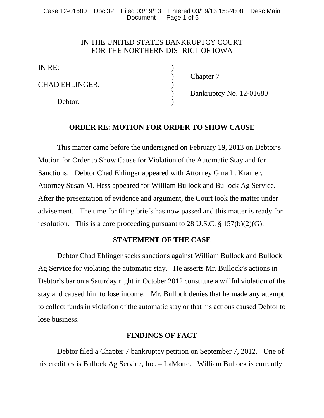Case 12-01680 Doc 32 Filed 03/19/13 Entered 03/19/13 15:24:08 Desc Main Page 1 of 6

# IN THE UNITED STATES BANKRUPTCY COURT FOR THE NORTHERN DISTRICT OF IOWA

IN RE:

CHAD EHLINGER,

Debtor.

) Chapter 7

) Bankruptcy No. 12-01680

# **ORDER RE: MOTION FOR ORDER TO SHOW CAUSE**

This matter came before the undersigned on February 19, 2013 on Debtor's Motion for Order to Show Cause for Violation of the Automatic Stay and for Sanctions. Debtor Chad Ehlinger appeared with Attorney Gina L. Kramer. Attorney Susan M. Hess appeared for William Bullock and Bullock Ag Service. After the presentation of evidence and argument, the Court took the matter under advisement. The time for filing briefs has now passed and this matter is ready for resolution. This is a core proceeding pursuant to 28 U.S.C. § 157(b)(2)(G).

### **STATEMENT OF THE CASE**

Debtor Chad Ehlinger seeks sanctions against William Bullock and Bullock Ag Service for violating the automatic stay. He asserts Mr. Bullock's actions in Debtor's bar on a Saturday night in October 2012 constitute a willful violation of the stay and caused him to lose income. Mr. Bullock denies that he made any attempt to collect funds in violation of the automatic stay or that his actions caused Debtor to lose business.

# **FINDINGS OF FACT**

Debtor filed a Chapter 7 bankruptcy petition on September 7, 2012. One of his creditors is Bullock Ag Service, Inc. – LaMotte. William Bullock is currently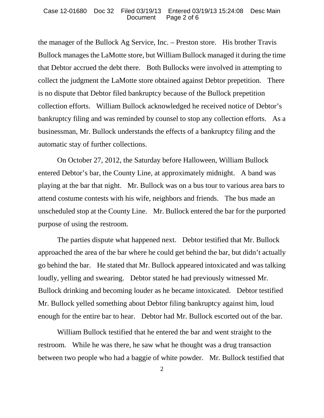the manager of the Bullock Ag Service, Inc. – Preston store. His brother Travis Bullock manages the LaMotte store, but William Bullock managed it during the time that Debtor accrued the debt there. Both Bullocks were involved in attempting to collect the judgment the LaMotte store obtained against Debtor prepetition. There is no dispute that Debtor filed bankruptcy because of the Bullock prepetition collection efforts. William Bullock acknowledged he received notice of Debtor's bankruptcy filing and was reminded by counsel to stop any collection efforts. As a businessman, Mr. Bullock understands the effects of a bankruptcy filing and the automatic stay of further collections.

On October 27, 2012, the Saturday before Halloween, William Bullock entered Debtor's bar, the County Line, at approximately midnight. A band was playing at the bar that night. Mr. Bullock was on a bus tour to various area bars to attend costume contests with his wife, neighbors and friends. The bus made an unscheduled stop at the County Line. Mr. Bullock entered the bar for the purported purpose of using the restroom.

The parties dispute what happened next. Debtor testified that Mr. Bullock approached the area of the bar where he could get behind the bar, but didn't actually go behind the bar. He stated that Mr. Bullock appeared intoxicated and was talking loudly, yelling and swearing. Debtor stated he had previously witnessed Mr. Bullock drinking and becoming louder as he became intoxicated. Debtor testified Mr. Bullock yelled something about Debtor filing bankruptcy against him, loud enough for the entire bar to hear. Debtor had Mr. Bullock escorted out of the bar.

William Bullock testified that he entered the bar and went straight to the restroom. While he was there, he saw what he thought was a drug transaction between two people who had a baggie of white powder. Mr. Bullock testified that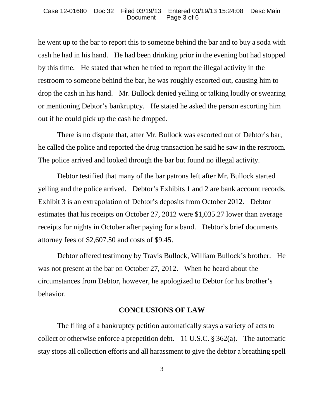he went up to the bar to report this to someone behind the bar and to buy a soda with cash he had in his hand. He had been drinking prior in the evening but had stopped by this time. He stated that when he tried to report the illegal activity in the restroom to someone behind the bar, he was roughly escorted out, causing him to drop the cash in his hand. Mr. Bullock denied yelling or talking loudly or swearing or mentioning Debtor's bankruptcy. He stated he asked the person escorting him out if he could pick up the cash he dropped.

There is no dispute that, after Mr. Bullock was escorted out of Debtor's bar, he called the police and reported the drug transaction he said he saw in the restroom. The police arrived and looked through the bar but found no illegal activity.

Debtor testified that many of the bar patrons left after Mr. Bullock started yelling and the police arrived. Debtor's Exhibits 1 and 2 are bank account records. Exhibit 3 is an extrapolation of Debtor's deposits from October 2012. Debtor estimates that his receipts on October 27, 2012 were \$1,035.27 lower than average receipts for nights in October after paying for a band. Debtor's brief documents attorney fees of \$2,607.50 and costs of \$9.45.

Debtor offered testimony by Travis Bullock, William Bullock's brother. He was not present at the bar on October 27, 2012. When he heard about the circumstances from Debtor, however, he apologized to Debtor for his brother's behavior.

#### **CONCLUSIONS OF LAW**

The filing of a bankruptcy petition automatically stays a variety of acts to collect or otherwise enforce a prepetition debt. 11 U.S.C. § 362(a). The automatic stay stops all collection efforts and all harassment to give the debtor a breathing spell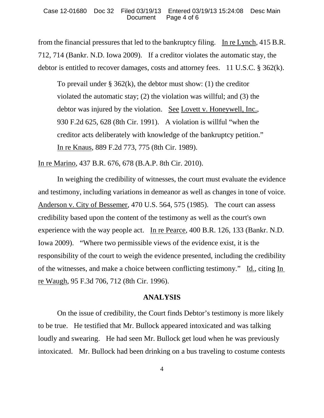from the financial pressures that led to the bankruptcy filing. In re Lynch, 415 B.R. 712, 714 (Bankr. N.D. Iowa 2009). If a creditor violates the automatic stay, the debtor is entitled to recover damages, costs and attorney fees. 11 U.S.C. § 362(k).

To prevail under  $\S 362(k)$ , the debtor must show: (1) the creditor violated the automatic stay; (2) the violation was willful; and (3) the debtor was injured by the violation. See Lovett v. Honeywell, Inc., 930 F.2d 625, 628 (8th Cir. 1991). A violation is willful "when the creditor acts deliberately with knowledge of the bankruptcy petition." In re Knaus, 889 F.2d 773, 775 (8th Cir. 1989).

In re Marino, 437 B.R. 676, 678 (B.A.P. 8th Cir. 2010).

In weighing the credibility of witnesses, the court must evaluate the evidence and testimony, including variations in demeanor as well as changes in tone of voice. Anderson v. City of Bessemer, 470 U.S. 564, 575 (1985). The court can assess credibility based upon the content of the testimony as well as the court's own experience with the way people act. In re Pearce, 400 B.R. 126, 133 (Bankr. N.D. Iowa 2009). "Where two permissible views of the evidence exist, it is the responsibility of the court to weigh the evidence presented, including the credibility of the witnesses, and make a choice between conflicting testimony." Id., citing In re Waugh, 95 F.3d 706, 712 (8th Cir. 1996).

### **ANALYSIS**

On the issue of credibility, the Court finds Debtor's testimony is more likely to be true. He testified that Mr. Bullock appeared intoxicated and was talking loudly and swearing. He had seen Mr. Bullock get loud when he was previously intoxicated. Mr. Bullock had been drinking on a bus traveling to costume contests

4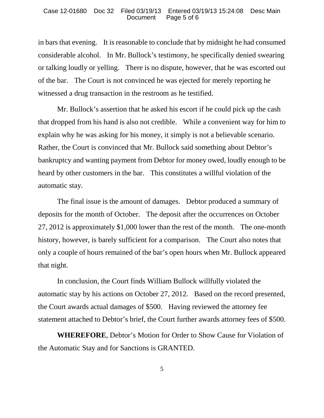in bars that evening. It is reasonable to conclude that by midnight he had consumed considerable alcohol. In Mr. Bullock's testimony, he specifically denied swearing or talking loudly or yelling. There is no dispute, however, that he was escorted out of the bar. The Court is not convinced he was ejected for merely reporting he witnessed a drug transaction in the restroom as he testified.

Mr. Bullock's assertion that he asked his escort if he could pick up the cash that dropped from his hand is also not credible. While a convenient way for him to explain why he was asking for his money, it simply is not a believable scenario. Rather, the Court is convinced that Mr. Bullock said something about Debtor's bankruptcy and wanting payment from Debtor for money owed, loudly enough to be heard by other customers in the bar. This constitutes a willful violation of the automatic stay.

The final issue is the amount of damages. Debtor produced a summary of deposits for the month of October. The deposit after the occurrences on October 27, 2012 is approximately \$1,000 lower than the rest of the month. The one-month history, however, is barely sufficient for a comparison. The Court also notes that only a couple of hours remained of the bar's open hours when Mr. Bullock appeared that night.

In conclusion, the Court finds William Bullock willfully violated the automatic stay by his actions on October 27, 2012. Based on the record presented, the Court awards actual damages of \$500. Having reviewed the attorney fee statement attached to Debtor's brief, the Court further awards attorney fees of \$500.

**WHEREFORE**, Debtor's Motion for Order to Show Cause for Violation of the Automatic Stay and for Sanctions is GRANTED.

5